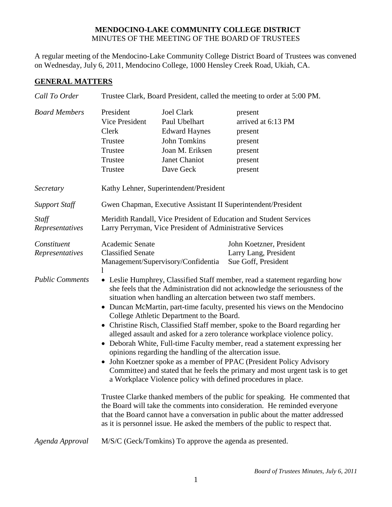## **MENDOCINO-LAKE COMMUNITY COLLEGE DISTRICT** MINUTES OF THE MEETING OF THE BOARD OF TRUSTEES

A regular meeting of the Mendocino-Lake Community College District Board of Trustees was convened on Wednesday, July 6, 2011, Mendocino College, 1000 Hensley Creek Road, Ukiah, CA.

## **GENERAL MATTERS**

| Call To Order                  | Trustee Clark, Board President, called the meeting to order at 5:00 PM.                                                                                                                                                                                                                                                                                                                                                                                                                                                                                                                                                                                                                                                                                                                                                                                                                                                                                                                                                                                                                                                                                                                                                                |                                                                                                                                    |                                                                                      |  |
|--------------------------------|----------------------------------------------------------------------------------------------------------------------------------------------------------------------------------------------------------------------------------------------------------------------------------------------------------------------------------------------------------------------------------------------------------------------------------------------------------------------------------------------------------------------------------------------------------------------------------------------------------------------------------------------------------------------------------------------------------------------------------------------------------------------------------------------------------------------------------------------------------------------------------------------------------------------------------------------------------------------------------------------------------------------------------------------------------------------------------------------------------------------------------------------------------------------------------------------------------------------------------------|------------------------------------------------------------------------------------------------------------------------------------|--------------------------------------------------------------------------------------|--|
| <b>Board Members</b>           | President<br>Vice President<br>Clerk<br>Trustee<br>Trustee<br>Trustee<br>Trustee                                                                                                                                                                                                                                                                                                                                                                                                                                                                                                                                                                                                                                                                                                                                                                                                                                                                                                                                                                                                                                                                                                                                                       | <b>Joel Clark</b><br>Paul Ubelhart<br><b>Edward Haynes</b><br><b>John Tomkins</b><br>Joan M. Eriksen<br>Janet Chaniot<br>Dave Geck | present<br>arrived at 6:13 PM<br>present<br>present<br>present<br>present<br>present |  |
| Secretary                      | Kathy Lehner, Superintendent/President                                                                                                                                                                                                                                                                                                                                                                                                                                                                                                                                                                                                                                                                                                                                                                                                                                                                                                                                                                                                                                                                                                                                                                                                 |                                                                                                                                    |                                                                                      |  |
| <b>Support Staff</b>           | Gwen Chapman, Executive Assistant II Superintendent/President                                                                                                                                                                                                                                                                                                                                                                                                                                                                                                                                                                                                                                                                                                                                                                                                                                                                                                                                                                                                                                                                                                                                                                          |                                                                                                                                    |                                                                                      |  |
| Staff<br>Representatives       | Meridith Randall, Vice President of Education and Student Services<br>Larry Perryman, Vice President of Administrative Services                                                                                                                                                                                                                                                                                                                                                                                                                                                                                                                                                                                                                                                                                                                                                                                                                                                                                                                                                                                                                                                                                                        |                                                                                                                                    |                                                                                      |  |
| Constituent<br>Representatives | Academic Senate<br><b>Classified Senate</b><br>1                                                                                                                                                                                                                                                                                                                                                                                                                                                                                                                                                                                                                                                                                                                                                                                                                                                                                                                                                                                                                                                                                                                                                                                       | Management/Supervisory/Confidentia                                                                                                 | John Koetzner, President<br>Larry Lang, President<br>Sue Goff, President             |  |
| <b>Public Comments</b>         | • Leslie Humphrey, Classified Staff member, read a statement regarding how<br>she feels that the Administration did not acknowledge the seriousness of the<br>situation when handling an altercation between two staff members.<br>Duncan McMartin, part-time faculty, presented his views on the Mendocino<br>College Athletic Department to the Board.<br>• Christine Risch, Classified Staff member, spoke to the Board regarding her<br>alleged assault and asked for a zero tolerance workplace violence policy.<br>• Deborah White, Full-time Faculty member, read a statement expressing her<br>opinions regarding the handling of the altercation issue.<br>John Koetzner spoke as a member of PPAC (President Policy Advisory<br>$\bullet$<br>Committee) and stated that he feels the primary and most urgent task is to get<br>a Workplace Violence policy with defined procedures in place.<br>Trustee Clarke thanked members of the public for speaking. He commented that<br>the Board will take the comments into consideration. He reminded everyone<br>that the Board cannot have a conversation in public about the matter addressed<br>as it is personnel issue. He asked the members of the public to respect that. |                                                                                                                                    |                                                                                      |  |
| Agenda Approval                |                                                                                                                                                                                                                                                                                                                                                                                                                                                                                                                                                                                                                                                                                                                                                                                                                                                                                                                                                                                                                                                                                                                                                                                                                                        | M/S/C (Geck/Tomkins) To approve the agenda as presented.                                                                           |                                                                                      |  |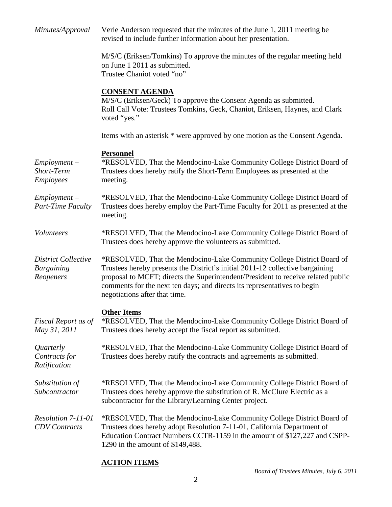| Minutes/Approval                                             | Verle Anderson requested that the minutes of the June 1, 2011 meeting be<br>revised to include further information about her presentation.                                                                                                                                                                                                               |  |
|--------------------------------------------------------------|----------------------------------------------------------------------------------------------------------------------------------------------------------------------------------------------------------------------------------------------------------------------------------------------------------------------------------------------------------|--|
|                                                              | M/S/C (Eriksen/Tomkins) To approve the minutes of the regular meeting held<br>on June 1 2011 as submitted.<br>Trustee Chaniot voted "no"                                                                                                                                                                                                                 |  |
|                                                              | <b>CONSENT AGENDA</b><br>M/S/C (Eriksen/Geck) To approve the Consent Agenda as submitted.<br>Roll Call Vote: Trustees Tomkins, Geck, Chaniot, Eriksen, Haynes, and Clark<br>voted "yes."                                                                                                                                                                 |  |
|                                                              | Items with an asterisk * were approved by one motion as the Consent Agenda.                                                                                                                                                                                                                                                                              |  |
| $Employment -$<br>Short-Term<br><b>Employees</b>             | <b>Personnel</b><br>*RESOLVED, That the Mendocino-Lake Community College District Board of<br>Trustees does hereby ratify the Short-Term Employees as presented at the<br>meeting.                                                                                                                                                                       |  |
| $Employment -$<br>Part-Time Faculty                          | *RESOLVED, That the Mendocino-Lake Community College District Board of<br>Trustees does hereby employ the Part-Time Faculty for 2011 as presented at the<br>meeting.                                                                                                                                                                                     |  |
| Volunteers                                                   | *RESOLVED, That the Mendocino-Lake Community College District Board of<br>Trustees does hereby approve the volunteers as submitted.                                                                                                                                                                                                                      |  |
| <b>District Collective</b><br><b>Bargaining</b><br>Reopeners | *RESOLVED, That the Mendocino-Lake Community College District Board of<br>Trustees hereby presents the District's initial 2011-12 collective bargaining<br>proposal to MCFT; directs the Superintendent/President to receive related public<br>comments for the next ten days; and directs its representatives to begin<br>negotiations after that time. |  |
| Fiscal Report as of<br>May 31, 2011                          | <b>Other Items</b><br>*RESOLVED, That the Mendocino-Lake Community College District Board of<br>Trustees does hereby accept the fiscal report as submitted.                                                                                                                                                                                              |  |
| Quarterly<br>Contracts for<br>Ratification                   | *RESOLVED, That the Mendocino-Lake Community College District Board of<br>Trustees does hereby ratify the contracts and agreements as submitted.                                                                                                                                                                                                         |  |
| Substitution of<br>Subcontractor                             | *RESOLVED, That the Mendocino-Lake Community College District Board of<br>Trustees does hereby approve the substitution of R. McClure Electric as a<br>subcontractor for the Library/Learning Center project.                                                                                                                                            |  |
| Resolution 7-11-01<br><b>CDV</b> Contracts                   | *RESOLVED, That the Mendocino-Lake Community College District Board of<br>Trustees does hereby adopt Resolution 7-11-01, California Department of<br>Education Contract Numbers CCTR-1159 in the amount of \$127,227 and CSPP-<br>1290 in the amount of \$149,488.                                                                                       |  |

## **ACTION ITEMS**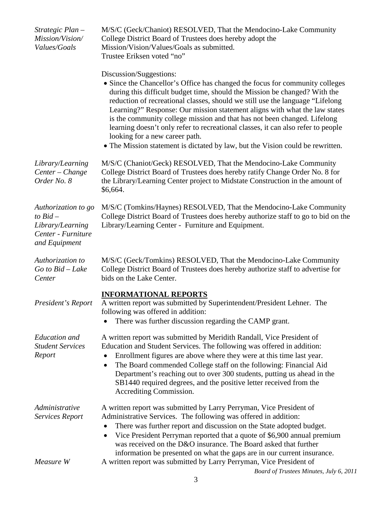| Strategic Plan -<br>Mission/Vision/<br>Values/Goals                                          | M/S/C (Geck/Chaniot) RESOLVED, That the Mendocino-Lake Community<br>College District Board of Trustees does hereby adopt the<br>Mission/Vision/Values/Goals as submitted.<br>Trustee Eriksen voted "no"                                                                                                                                                                                                                                                                                                                                                                                                                                   |  |
|----------------------------------------------------------------------------------------------|-------------------------------------------------------------------------------------------------------------------------------------------------------------------------------------------------------------------------------------------------------------------------------------------------------------------------------------------------------------------------------------------------------------------------------------------------------------------------------------------------------------------------------------------------------------------------------------------------------------------------------------------|--|
|                                                                                              | Discussion/Suggestions:<br>• Since the Chancellor's Office has changed the focus for community colleges<br>during this difficult budget time, should the Mission be changed? With the<br>reduction of recreational classes, should we still use the language "Lifelong"<br>Learning?" Response: Our mission statement aligns with what the law states<br>is the community college mission and that has not been changed. Lifelong<br>learning doesn't only refer to recreational classes, it can also refer to people<br>looking for a new career path.<br>• The Mission statement is dictated by law, but the Vision could be rewritten. |  |
| Library/Learning<br>Center - Change<br>Order No. 8                                           | M/S/C (Chaniot/Geck) RESOLVED, That the Mendocino-Lake Community<br>College District Board of Trustees does hereby ratify Change Order No. 8 for<br>the Library/Learning Center project to Midstate Construction in the amount of<br>\$6,664.                                                                                                                                                                                                                                                                                                                                                                                             |  |
| Authorization to go<br>to $Bid -$<br>Library/Learning<br>Center - Furniture<br>and Equipment | M/S/C (Tomkins/Haynes) RESOLVED, That the Mendocino-Lake Community<br>College District Board of Trustees does hereby authorize staff to go to bid on the<br>Library/Learning Center - Furniture and Equipment.                                                                                                                                                                                                                                                                                                                                                                                                                            |  |
| Authorization to<br>$Go$ to $Bid - Lake$<br>Center                                           | M/S/C (Geck/Tomkins) RESOLVED, That the Mendocino-Lake Community<br>College District Board of Trustees does hereby authorize staff to advertise for<br>bids on the Lake Center.                                                                                                                                                                                                                                                                                                                                                                                                                                                           |  |
| President's Report                                                                           | <b>INFORMATIONAL REPORTS</b><br>A written report was submitted by Superintendent/President Lehner. The<br>following was offered in addition:<br>There was further discussion regarding the CAMP grant.                                                                                                                                                                                                                                                                                                                                                                                                                                    |  |
| <b>Education</b> and<br><b>Student Services</b><br>Report                                    | A written report was submitted by Meridith Randall, Vice President of<br>Education and Student Services. The following was offered in addition:<br>Enrollment figures are above where they were at this time last year.<br>The Board commended College staff on the following: Financial Aid<br>٠<br>Department's reaching out to over 300 students, putting us ahead in the<br>SB1440 required degrees, and the positive letter received from the<br>Accrediting Commission.                                                                                                                                                             |  |
| Administrative<br><b>Services Report</b>                                                     | A written report was submitted by Larry Perryman, Vice President of<br>Administrative Services. The following was offered in addition:<br>There was further report and discussion on the State adopted budget.<br>Vice President Perryman reported that a quote of \$6,900 annual premium<br>was received on the D&O insurance. The Board asked that further<br>information be presented on what the gaps are in our current insurance.                                                                                                                                                                                                   |  |
| Measure W                                                                                    | A written report was submitted by Larry Perryman, Vice President of                                                                                                                                                                                                                                                                                                                                                                                                                                                                                                                                                                       |  |

*Board of Trustees Minutes, July 6, 2011*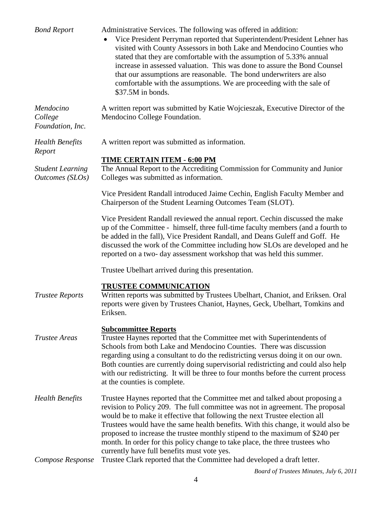| <b>Bond Report</b>                         | Administrative Services. The following was offered in addition:<br>Vice President Perryman reported that Superintendent/President Lehner has<br>visited with County Assessors in both Lake and Mendocino Counties who<br>stated that they are comfortable with the assumption of 5.33% annual<br>increase in assessed valuation. This was done to assure the Bond Counsel<br>that our assumptions are reasonable. The bond underwriters are also<br>comfortable with the assumptions. We are proceeding with the sale of<br>\$37.5M in bonds. |
|--------------------------------------------|-----------------------------------------------------------------------------------------------------------------------------------------------------------------------------------------------------------------------------------------------------------------------------------------------------------------------------------------------------------------------------------------------------------------------------------------------------------------------------------------------------------------------------------------------|
| Mendocino<br>College<br>Foundation, Inc.   | A written report was submitted by Katie Wojcieszak, Executive Director of the<br>Mendocino College Foundation.                                                                                                                                                                                                                                                                                                                                                                                                                                |
| <b>Health Benefits</b><br>Report           | A written report was submitted as information.                                                                                                                                                                                                                                                                                                                                                                                                                                                                                                |
| <b>Student Learning</b><br>Outcomes (SLOs) | TIME CERTAIN ITEM - 6:00 PM<br>The Annual Report to the Accrediting Commission for Community and Junior<br>Colleges was submitted as information.                                                                                                                                                                                                                                                                                                                                                                                             |
|                                            | Vice President Randall introduced Jaime Cechin, English Faculty Member and<br>Chairperson of the Student Learning Outcomes Team (SLOT).                                                                                                                                                                                                                                                                                                                                                                                                       |
|                                            | Vice President Randall reviewed the annual report. Cechin discussed the make<br>up of the Committee - himself, three full-time faculty members (and a fourth to<br>be added in the fall), Vice President Randall, and Deans Guleff and Goff. He<br>discussed the work of the Committee including how SLOs are developed and he<br>reported on a two- day assessment workshop that was held this summer.                                                                                                                                       |
|                                            | Trustee Ubelhart arrived during this presentation.                                                                                                                                                                                                                                                                                                                                                                                                                                                                                            |
| <b>Trustee Reports</b>                     | <b>TRUSTEE COMMUNICATION</b><br>Written reports was submitted by Trustees Ubelhart, Chaniot, and Eriksen. Oral<br>reports were given by Trustees Chaniot, Haynes, Geck, Ubelhart, Tomkins and<br>Eriksen.                                                                                                                                                                                                                                                                                                                                     |
| <b>Trustee Areas</b>                       | <b>Subcommittee Reports</b><br>Trustee Haynes reported that the Committee met with Superintendents of<br>Schools from both Lake and Mendocino Counties. There was discussion<br>regarding using a consultant to do the redistricting versus doing it on our own.<br>Both counties are currently doing supervisorial redistricting and could also help<br>with our redistricting. It will be three to four months before the current process<br>at the counties is complete.                                                                   |
| <b>Health Benefits</b>                     | Trustee Haynes reported that the Committee met and talked about proposing a<br>revision to Policy 209. The full committee was not in agreement. The proposal<br>would be to make it effective that following the next Trustee election all<br>Trustees would have the same health benefits. With this change, it would also be<br>proposed to increase the trustee monthly stipend to the maximum of \$240 per<br>month. In order for this policy change to take place, the three trustees who<br>currently have full benefits must vote yes. |
| Compose Response                           | Trustee Clark reported that the Committee had developed a draft letter.                                                                                                                                                                                                                                                                                                                                                                                                                                                                       |